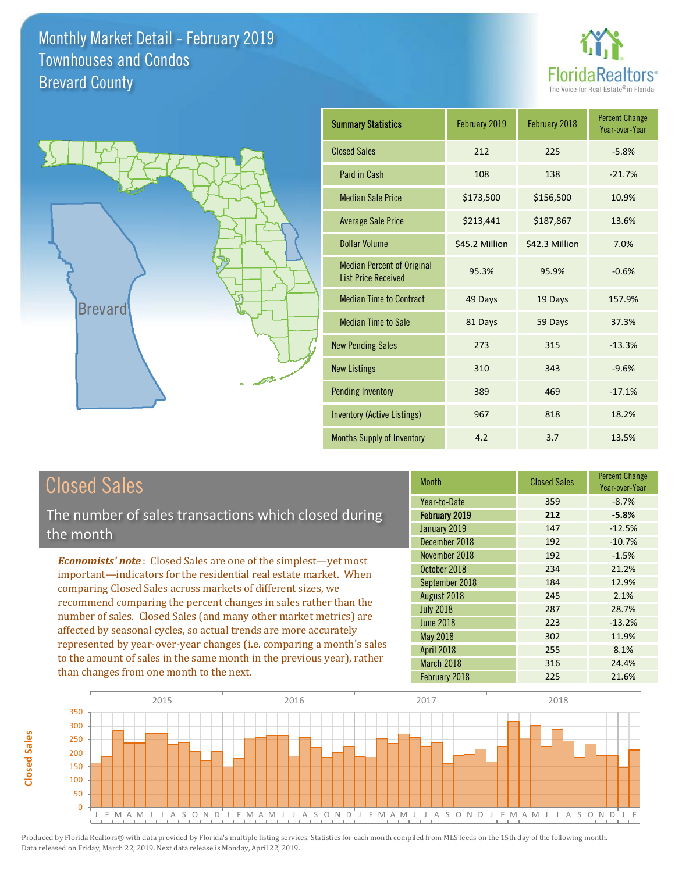



| <b>Summary Statistics</b>                                       | February 2019  | February 2018  | <b>Percent Change</b><br>Year-over-Year |
|-----------------------------------------------------------------|----------------|----------------|-----------------------------------------|
| <b>Closed Sales</b>                                             | 212            | 225            | $-5.8%$                                 |
| Paid in Cash                                                    | 108            | 138            | $-21.7%$                                |
| <b>Median Sale Price</b>                                        | \$173,500      | \$156,500      | 10.9%                                   |
| <b>Average Sale Price</b>                                       | \$213,441      | \$187,867      | 13.6%                                   |
| Dollar Volume                                                   | \$45.2 Million | \$42.3 Million | 7.0%                                    |
| <b>Median Percent of Original</b><br><b>List Price Received</b> | 95.3%          | 95.9%          | $-0.6%$                                 |
| <b>Median Time to Contract</b>                                  | 49 Days        | 19 Days        | 157.9%                                  |
| <b>Median Time to Sale</b>                                      | 81 Days        | 59 Days        | 37.3%                                   |
| <b>New Pending Sales</b>                                        | 273            | 315            | $-13.3%$                                |
| <b>New Listings</b>                                             | 310            | 343            | $-9.6%$                                 |
| <b>Pending Inventory</b>                                        | 389            | 469            | $-17.1%$                                |
| Inventory (Active Listings)                                     | 967            | 818            | 18.2%                                   |
| <b>Months Supply of Inventory</b>                               | 4.2            | 3.7            | 13.5%                                   |

# Closed Sales

The number of sales transactions which closed during the month

*Economists' note* : Closed Sales are one of the simplest—yet most important—indicators for the residential real estate market. When comparing Closed Sales across markets of different sizes, we recommend comparing the percent changes in sales rather than the number of sales. Closed Sales (and many other market metrics) are affected by seasonal cycles, so actual trends are more accurately represented by year-over-year changes (i.e. comparing a month's sales to the amount of sales in the same month in the previous year), rather than changes from one month to the next.

| <b>Month</b>     | <b>Closed Sales</b> | <b>Percent Change</b><br>Year-over-Year |
|------------------|---------------------|-----------------------------------------|
| Year-to-Date     | 359                 | $-8.7%$                                 |
| February 2019    | 212                 | $-5.8%$                                 |
| January 2019     | 147                 | $-12.5%$                                |
| December 2018    | 192                 | $-10.7%$                                |
| November 2018    | 192                 | $-1.5%$                                 |
| October 2018     | 234                 | 21.2%                                   |
| September 2018   | 184                 | 12.9%                                   |
| August 2018      | 245                 | 2.1%                                    |
| <b>July 2018</b> | 287                 | 28.7%                                   |
| <b>June 2018</b> | 223                 | $-13.2%$                                |
| May 2018         | 302                 | 11.9%                                   |
| April 2018       | 255                 | 8.1%                                    |
| March 2018       | 316                 | 24.4%                                   |
| February 2018    | 225                 | 21.6%                                   |

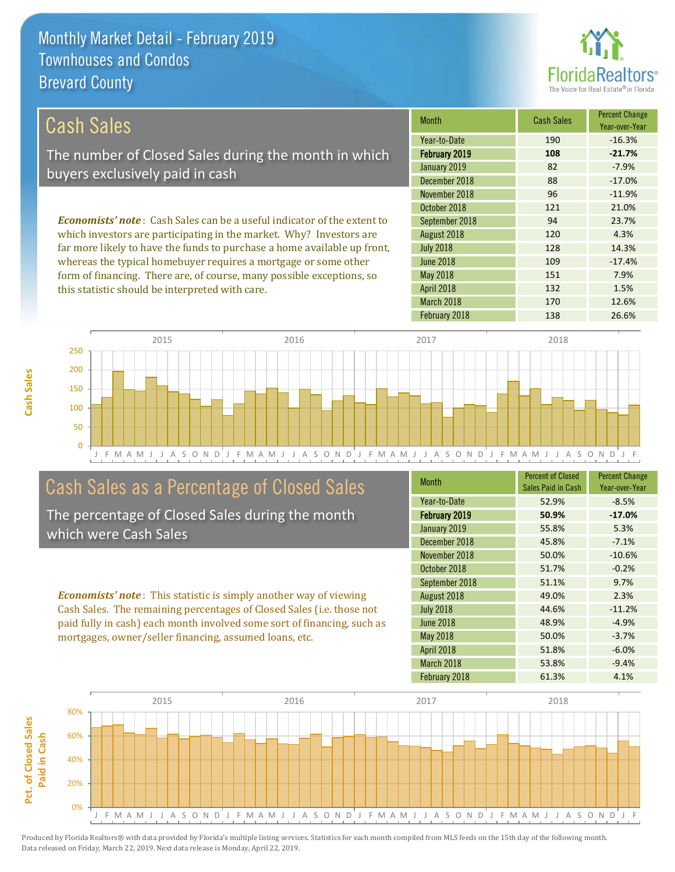this statistic should be interpreted with care.



132 1.5%

| Cash Sales                                                                     | <b>Month</b>     | <b>Cash Sales</b> | <b>Percent Change</b><br>Year-over-Year |
|--------------------------------------------------------------------------------|------------------|-------------------|-----------------------------------------|
|                                                                                | Year-to-Date     | 190               | $-16.3%$                                |
| The number of Closed Sales during the month in which                           | February 2019    | 108               | $-21.7%$                                |
| buyers exclusively paid in cash                                                | January 2019     | 82                | $-7.9%$                                 |
|                                                                                | December 2018    | 88                | $-17.0%$                                |
|                                                                                | November 2018    | 96                | $-11.9%$                                |
|                                                                                | October 2018     | 121               | 21.0%                                   |
| <b>Economists' note:</b> Cash Sales can be a useful indicator of the extent to | September 2018   | 94                | 23.7%                                   |
| which investors are participating in the market. Why? Investors are            | August 2018      | 120               | 4.3%                                    |
| far more likely to have the funds to purchase a home available up front,       | <b>July 2018</b> | 128               | 14.3%                                   |
| whereas the typical homebuyer requires a mortgage or some other                | <b>June 2018</b> | 109               | $-17.4%$                                |
| form of financing. There are, of course, many possible exceptions, so          | May 2018         | 151               | 7.9%                                    |

J F M A M J J A S O N D J F M A M J J A S O N D J F M A M J J A S O N D J F M A M J J A S O N D J F 0 50 100 150 200 250 2015 2016 2017 2018

# Cash Sales as a Percentage of Closed Sales

The percentage of Closed Sales during the month which were Cash Sales

*Economists' note* : This statistic is simply another way of viewing Cash Sales. The remaining percentages of Closed Sales (i.e. those not paid fully in cash) each month involved some sort of financing, such as mortgages, owner/seller financing, assumed loans, etc.

| <b>Month</b>         | <b>Percent of Closed</b><br>Sales Paid in Cash | <b>Percent Change</b><br>Year-over-Year |
|----------------------|------------------------------------------------|-----------------------------------------|
| Year-to-Date         | 52.9%                                          | $-8.5%$                                 |
| <b>February 2019</b> | 50.9%                                          | $-17.0%$                                |
| January 2019         | 55.8%                                          | 5.3%                                    |
| December 2018        | 45.8%                                          | $-7.1%$                                 |
| November 2018        | 50.0%                                          | $-10.6%$                                |
| October 2018         | 51.7%                                          | $-0.2%$                                 |
| September 2018       | 51.1%                                          | 9.7%                                    |
| August 2018          | 49.0%                                          | 2.3%                                    |
| <b>July 2018</b>     | 44.6%                                          | $-11.2%$                                |
| <b>June 2018</b>     | 48.9%                                          | $-4.9%$                                 |
| <b>May 2018</b>      | 50.0%                                          | $-3.7%$                                 |
| <b>April 2018</b>    | 51.8%                                          | $-6.0%$                                 |
| March 2018           | 53.8%                                          | $-9.4%$                                 |
| February 2018        | 61.3%                                          | 4.1%                                    |

February 2018 138 26.6%

March 2018 170 12.6%

April 2018



**Cash Sales**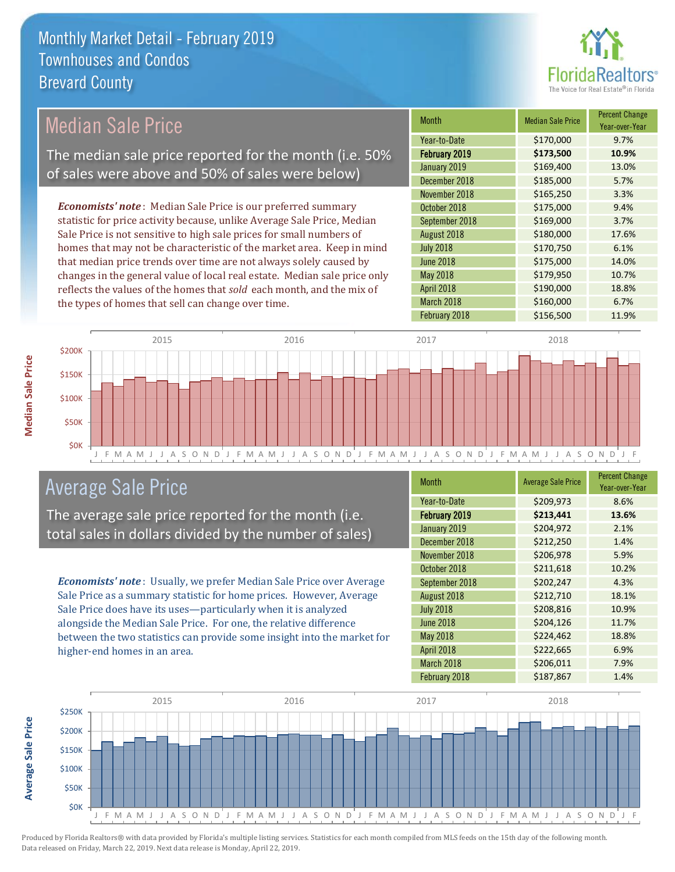

#### Month Median Sale Price Percent Change Year-over-Year February 2019 **\$173,500 10.9%** Year-to-Date \$170,000 9.7% July 2018 **\$170,750** 6.1% January 2019 **\$169,400** 13.0% December 2018 **\$185,000** 5.7% September 2018 **\$169,000** 3.7% August 2018 **\$180,000** 17.6% November 2018 **\$165,250** 3.3% October 2018 **\$175,000** 9.4% June 2018 **\$175,000** 14.0% May 2018 **5179,950 10.7%** April 2018 **\$190,000** 18.8% March 2018 **\$160,000** 6.7% February 2018 **\$156,500** 11.9% *Economists' note* : Median Sale Price is our preferred summary statistic for price activity because, unlike Average Sale Price, Median Sale Price is not sensitive to high sale prices for small numbers of homes that may not be characteristic of the market area. Keep in mind that median price trends over time are not always solely caused by changes in the general value of local real estate. Median sale price only reflects the values of the homes that *sold* each month, and the mix of the types of homes that sell can change over time. Median Sale Price The median sale price reported for the month (i.e. 50% of sales were above and 50% of sales were below)



## Average Sale Price

The average sale price reported for the month (i.e. total sales in dollars divided by the number of sales)

*Economists' note* : Usually, we prefer Median Sale Price over Average Sale Price as a summary statistic for home prices. However, Average Sale Price does have its uses—particularly when it is analyzed alongside the Median Sale Price. For one, the relative difference between the two statistics can provide some insight into the market for higher-end homes in an area.

| Month                | <b>Average Sale Price</b> | <b>Percent Change</b><br>Year-over-Year |
|----------------------|---------------------------|-----------------------------------------|
| Year-to-Date         | \$209,973                 | 8.6%                                    |
| <b>February 2019</b> | \$213,441                 | 13.6%                                   |
| January 2019         | \$204,972                 | 2.1%                                    |
| December 2018        | \$212,250                 | 1.4%                                    |
| November 2018        | \$206,978                 | 5.9%                                    |
| October 2018         | \$211,618                 | 10.2%                                   |
| September 2018       | \$202,247                 | 4.3%                                    |
| August 2018          | \$212,710                 | 18.1%                                   |
| <b>July 2018</b>     | \$208,816                 | 10.9%                                   |
| <b>June 2018</b>     | \$204,126                 | 11.7%                                   |
| May 2018             | \$224,462                 | 18.8%                                   |
| April 2018           | \$222,665                 | 6.9%                                    |
| March 2018           | \$206,011                 | 7.9%                                    |
| February 2018        | \$187,867                 | 1.4%                                    |



**Median Sale Price**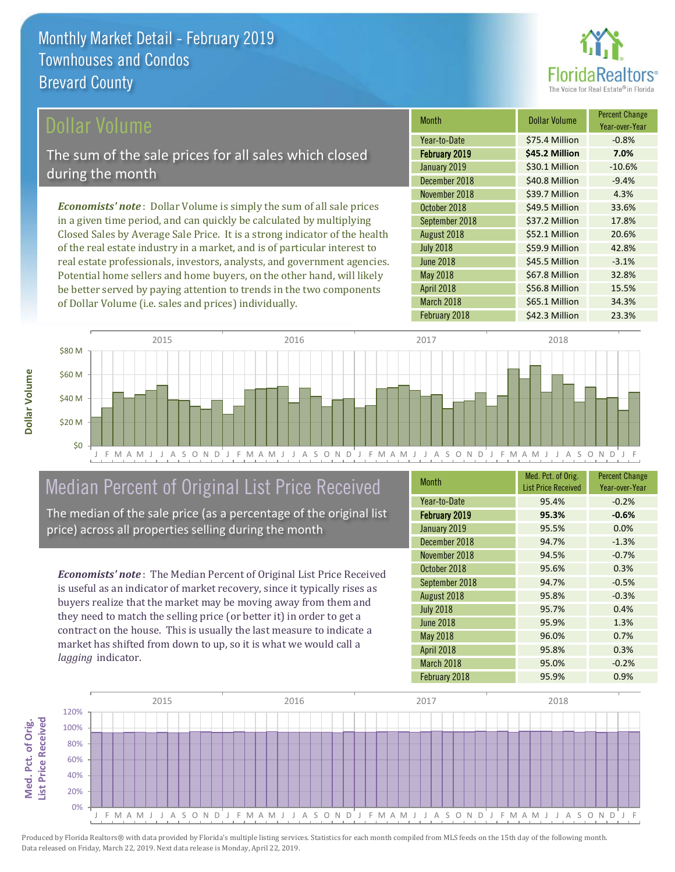

### ollar Volume

The sum of the sale prices for all sales which closed during the month

*Economists' note* : Dollar Volume is simply the sum of all sale prices in a given time period, and can quickly be calculated by multiplying Closed Sales by Average Sale Price. It is a strong indicator of the health of the real estate industry in a market, and is of particular interest to real estate professionals, investors, analysts, and government agencies. Potential home sellers and home buyers, on the other hand, will likely be better served by paying attention to trends in the two components of Dollar Volume (i.e. sales and prices) individually.

| <b>Month</b>     | <b>Dollar Volume</b> | <b>Percent Change</b><br>Year-over-Year |
|------------------|----------------------|-----------------------------------------|
| Year-to-Date     | \$75.4 Million       | $-0.8%$                                 |
| February 2019    | \$45.2 Million       | 7.0%                                    |
| January 2019     | \$30.1 Million       | $-10.6%$                                |
| December 2018    | \$40.8 Million       | $-9.4%$                                 |
| November 2018    | \$39.7 Million       | 4.3%                                    |
| October 2018     | \$49.5 Million       | 33.6%                                   |
| September 2018   | \$37.2 Million       | 17.8%                                   |
| August 2018      | \$52.1 Million       | 20.6%                                   |
| <b>July 2018</b> | \$59.9 Million       | 42.8%                                   |
| <b>June 2018</b> | \$45.5 Million       | $-3.1%$                                 |
| May 2018         | \$67.8 Million       | 32.8%                                   |
| April 2018       | \$56.8 Million       | 15.5%                                   |
| March 2018       | \$65.1 Million       | 34.3%                                   |
| February 2018    | \$42.3 Million       | 23.3%                                   |



# Median Percent of Original List Price Received

The median of the sale price (as a percentage of the original list price) across all properties selling during the month

*Economists' note* : The Median Percent of Original List Price Received is useful as an indicator of market recovery, since it typically rises as buyers realize that the market may be moving away from them and they need to match the selling price (or better it) in order to get a contract on the house. This is usually the last measure to indicate a market has shifted from down to up, so it is what we would call a *lagging* indicator.

| <b>Month</b>      | Med. Pct. of Orig.<br><b>List Price Received</b> | <b>Percent Change</b><br>Year-over-Year |
|-------------------|--------------------------------------------------|-----------------------------------------|
| Year-to-Date      | 95.4%                                            | $-0.2%$                                 |
| February 2019     | 95.3%                                            | $-0.6%$                                 |
| January 2019      | 95.5%                                            | 0.0%                                    |
| December 2018     | 94.7%                                            | $-1.3%$                                 |
| November 2018     | 94.5%                                            | $-0.7%$                                 |
| October 2018      | 95.6%                                            | 0.3%                                    |
| September 2018    | 94.7%                                            | $-0.5%$                                 |
| August 2018       | 95.8%                                            | $-0.3%$                                 |
| <b>July 2018</b>  | 95.7%                                            | 0.4%                                    |
| <b>June 2018</b>  | 95.9%                                            | 1.3%                                    |
| <b>May 2018</b>   | 96.0%                                            | 0.7%                                    |
| <b>April 2018</b> | 95.8%                                            | 0.3%                                    |
| March 2018        | 95.0%                                            | $-0.2%$                                 |
| February 2018     | 95.9%                                            | 0.9%                                    |

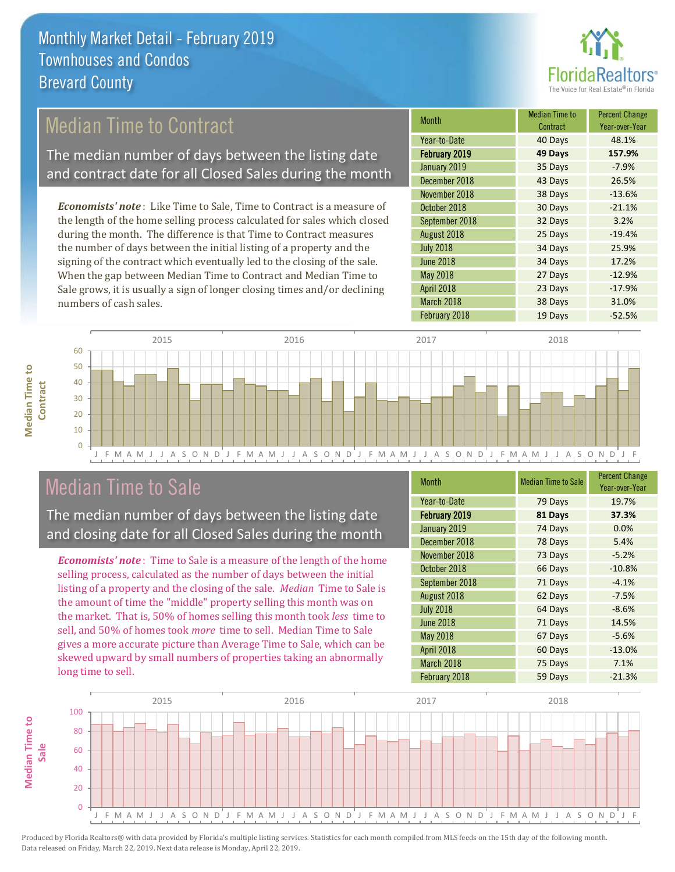

# Median Time to Contract

The median number of days between the listing date and contract date for all Closed Sales during the month

*Economists' note* : Like Time to Sale, Time to Contract is a measure of the length of the home selling process calculated for sales which closed during the month. The difference is that Time to Contract measures the number of days between the initial listing of a property and the signing of the contract which eventually led to the closing of the sale. When the gap between Median Time to Contract and Median Time to Sale grows, it is usually a sign of longer closing times and/or declining numbers of cash sales.

| <b>Month</b>     | <b>Median Time to</b><br>Contract | <b>Percent Change</b><br>Year-over-Year |
|------------------|-----------------------------------|-----------------------------------------|
| Year-to-Date     | 40 Days                           | 48.1%                                   |
| February 2019    | 49 Days                           | 157.9%                                  |
| January 2019     | 35 Days                           | $-7.9%$                                 |
| December 2018    | 43 Days                           | 26.5%                                   |
| November 2018    | 38 Days                           | $-13.6%$                                |
| October 2018     | 30 Days                           | $-21.1%$                                |
| September 2018   | 32 Days                           | 3.2%                                    |
| August 2018      | 25 Days                           | $-19.4%$                                |
| <b>July 2018</b> | 34 Days                           | 25.9%                                   |
| <b>June 2018</b> | 34 Days                           | 17.2%                                   |
| <b>May 2018</b>  | 27 Days                           | $-12.9%$                                |
| April 2018       | 23 Days                           | $-17.9%$                                |
| March 2018       | 38 Days                           | 31.0%                                   |
| February 2018    | 19 Days                           | $-52.5%$                                |



## Median Time to Sale

**Median Time to** 

**Median Time to** 

The median number of days between the listing date and closing date for all Closed Sales during the month

*Economists' note* : Time to Sale is a measure of the length of the home selling process, calculated as the number of days between the initial listing of a property and the closing of the sale. *Median* Time to Sale is the amount of time the "middle" property selling this month was on the market. That is, 50% of homes selling this month took *less* time to sell, and 50% of homes took *more* time to sell. Median Time to Sale gives a more accurate picture than Average Time to Sale, which can be skewed upward by small numbers of properties taking an abnormally long time to sell.

| Month            | <b>Median Time to Sale</b> | <b>Percent Change</b><br>Year-over-Year |
|------------------|----------------------------|-----------------------------------------|
| Year-to-Date     | 79 Days                    | 19.7%                                   |
| February 2019    | 81 Days                    | 37.3%                                   |
| January 2019     | 74 Days                    | 0.0%                                    |
| December 2018    | 78 Days                    | 5.4%                                    |
| November 2018    | 73 Days                    | $-5.2%$                                 |
| October 2018     | 66 Days                    | $-10.8%$                                |
| September 2018   | 71 Days                    | $-4.1%$                                 |
| August 2018      | 62 Days                    | $-7.5%$                                 |
| <b>July 2018</b> | 64 Days                    | $-8.6%$                                 |
| <b>June 2018</b> | 71 Days                    | 14.5%                                   |
| <b>May 2018</b>  | 67 Days                    | $-5.6%$                                 |
| April 2018       | 60 Days                    | $-13.0%$                                |
| March 2018       | 75 Days                    | 7.1%                                    |
| February 2018    | 59 Days                    | $-21.3%$                                |

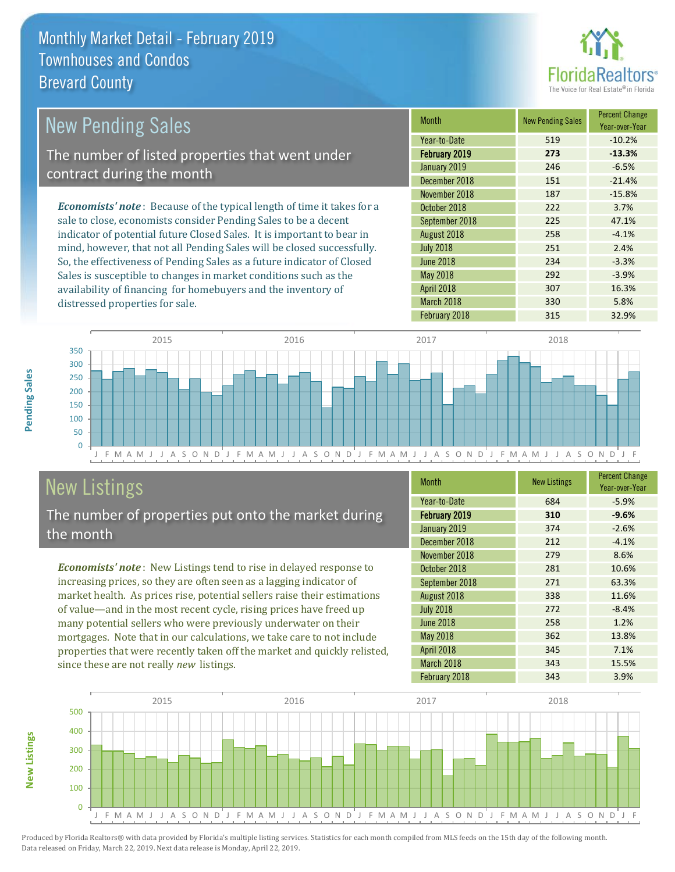

| <b>New Pending Sales</b>                                                       | <b>Month</b>     | <b>New Pending Sales</b> | <b>Percent Change</b><br>Year-over-Year |
|--------------------------------------------------------------------------------|------------------|--------------------------|-----------------------------------------|
|                                                                                | Year-to-Date     | 519                      | $-10.2%$                                |
| The number of listed properties that went under                                | February 2019    | 273                      | $-13.3%$                                |
| contract during the month                                                      | January 2019     | 246                      | $-6.5%$                                 |
|                                                                                | December 2018    | 151                      | $-21.4%$                                |
|                                                                                | November 2018    | 187                      | $-15.8%$                                |
| <b>Economists' note</b> : Because of the typical length of time it takes for a | October 2018     | 222                      | 3.7%                                    |
| sale to close, economists consider Pending Sales to be a decent                | September 2018   | 225                      | 47.1%                                   |
| indicator of potential future Closed Sales. It is important to bear in         | August 2018      | 258                      | $-4.1%$                                 |
| mind, however, that not all Pending Sales will be closed successfully.         | <b>July 2018</b> | 251                      | 2.4%                                    |
| So, the effectiveness of Pending Sales as a future indicator of Closed         | <b>June 2018</b> | 234                      | $-3.3%$                                 |

J F M A M J J A S O N D J F M A M J J A S O N D J F M A M J J A S O N D J F M A M J J A S O N D J F  $\Omega$ 50 100 150 200 250 300 350 2015 2016 2017 2018

# New Listings

**New Listings**

**Pending Sales**

Pending Sales

distressed properties for sale.

The number of properties put onto the market during the month

Sales is susceptible to changes in market conditions such as the availability of financing for homebuyers and the inventory of

*Economists' note* : New Listings tend to rise in delayed response to increasing prices, so they are often seen as a lagging indicator of market health. As prices rise, potential sellers raise their estimations of value—and in the most recent cycle, rising prices have freed up many potential sellers who were previously underwater on their mortgages. Note that in our calculations, we take care to not include properties that were recently taken off the market and quickly relisted, since these are not really *new* listings.

| <b>Month</b>         | <b>New Listings</b> | <b>Percent Change</b><br>Year-over-Year |
|----------------------|---------------------|-----------------------------------------|
| Year-to-Date         | 684                 | $-5.9%$                                 |
| <b>February 2019</b> | 310                 | $-9.6%$                                 |
| January 2019         | 374                 | $-2.6%$                                 |
| December 2018        | 212                 | $-4.1%$                                 |
| November 2018        | 279                 | 8.6%                                    |
| October 2018         | 281                 | 10.6%                                   |
| September 2018       | 271                 | 63.3%                                   |
| August 2018          | 338                 | 11.6%                                   |
| <b>July 2018</b>     | 272                 | $-8.4%$                                 |
| <b>June 2018</b>     | 258                 | 1.2%                                    |
| May 2018             | 362                 | 13.8%                                   |
| April 2018           | 345                 | 7.1%                                    |
| March 2018           | 343                 | 15.5%                                   |
| February 2018        | 343                 | 3.9%                                    |

May 2018 292 3.9% April 2018 **307** 16.3% March 2018 **330** 5.8% February 2018 **315** 32.9%

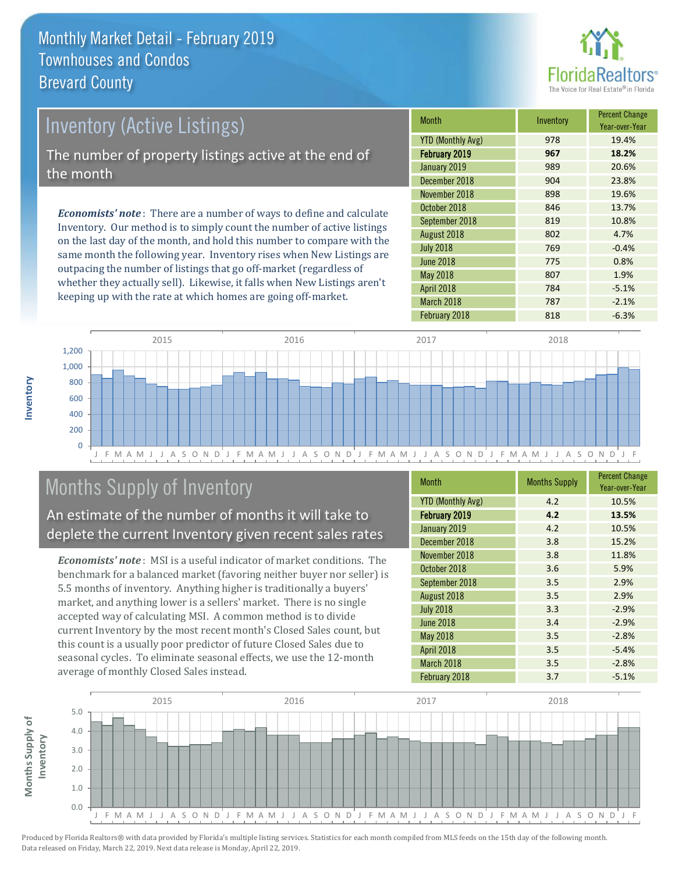

# Inventory (Active Listings) The number of property listings active at the end of the month

*Economists' note* : There are a number of ways to define and calculate Inventory. Our method is to simply count the number of active listings on the last day of the month, and hold this number to compare with the same month the following year. Inventory rises when New Listings are outpacing the number of listings that go off-market (regardless of whether they actually sell). Likewise, it falls when New Listings aren't keeping up with the rate at which homes are going off-market.

| <b>Month</b>             | Inventory | <b>Percent Change</b><br>Year-over-Year |
|--------------------------|-----------|-----------------------------------------|
| <b>YTD (Monthly Avg)</b> | 978       | 19.4%                                   |
| February 2019            | 967       | 18.2%                                   |
| January 2019             | 989       | 20.6%                                   |
| December 2018            | 904       | 23.8%                                   |
| November 2018            | 898       | 19.6%                                   |
| October 2018             | 846       | 13.7%                                   |
| September 2018           | 819       | 10.8%                                   |
| August 2018              | 802       | 4.7%                                    |
| <b>July 2018</b>         | 769       | $-0.4%$                                 |
| <b>June 2018</b>         | 775       | 0.8%                                    |
| May 2018                 | 807       | 1.9%                                    |
| April 2018               | 784       | $-5.1%$                                 |
| March 2018               | 787       | $-2.1%$                                 |
| February 2018            | 818       | $-6.3%$                                 |



# Months Supply of Inventory

An estimate of the number of months it will take to deplete the current Inventory given recent sales rates

*Economists' note* : MSI is a useful indicator of market conditions. The benchmark for a balanced market (favoring neither buyer nor seller) is 5.5 months of inventory. Anything higher is traditionally a buyers' market, and anything lower is a sellers' market. There is no single accepted way of calculating MSI. A common method is to divide current Inventory by the most recent month's Closed Sales count, but this count is a usually poor predictor of future Closed Sales due to seasonal cycles. To eliminate seasonal effects, we use the 12-month average of monthly Closed Sales instead.

| <b>Month</b>             | <b>Months Supply</b> | <b>Percent Change</b><br>Year-over-Year |
|--------------------------|----------------------|-----------------------------------------|
| <b>YTD (Monthly Avg)</b> | 4.2                  | 10.5%                                   |
| February 2019            | 4.2                  | 13.5%                                   |
| January 2019             | 4.2                  | 10.5%                                   |
| December 2018            | 3.8                  | 15.2%                                   |
| November 2018            | 3.8                  | 11.8%                                   |
| October 2018             | 3.6                  | 5.9%                                    |
| September 2018           | 3.5                  | 2.9%                                    |
| August 2018              | 3.5                  | 2.9%                                    |
| <b>July 2018</b>         | 3.3                  | $-2.9%$                                 |
| June 2018                | 3.4                  | $-2.9%$                                 |
| <b>May 2018</b>          | 3.5                  | $-2.8%$                                 |
| April 2018               | 3.5                  | $-5.4%$                                 |
| March 2018               | 3.5                  | $-2.8%$                                 |
| February 2018            | 3.7                  | $-5.1%$                                 |

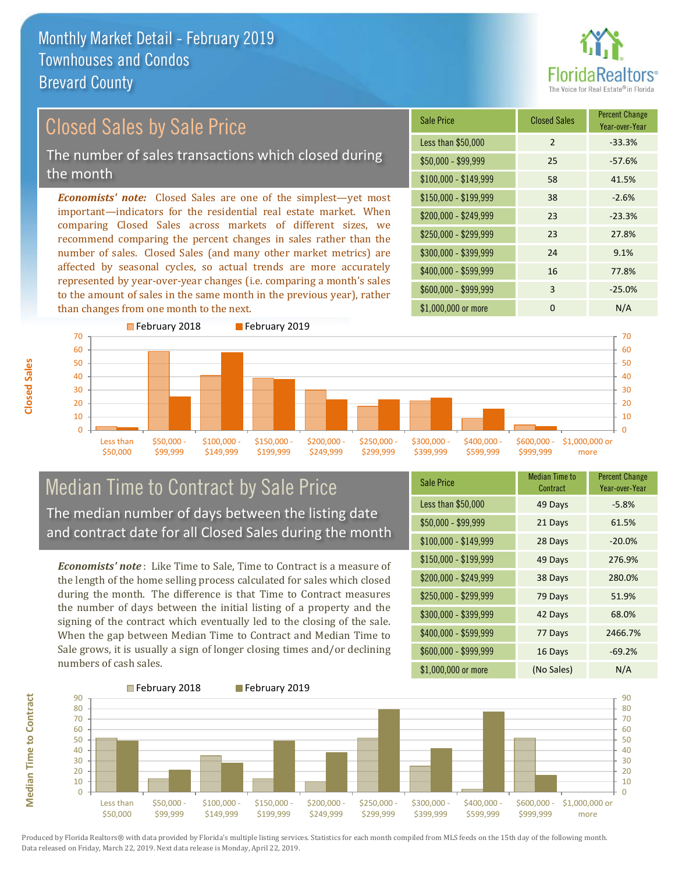

# Closed Sales by Sale Price

The number of sales transactions which closed during the month

*Economists' note:* Closed Sales are one of the simplest—yet most important—indicators for the residential real estate market. When comparing Closed Sales across markets of different sizes, we recommend comparing the percent changes in sales rather than the number of sales. Closed Sales (and many other market metrics) are affected by seasonal cycles, so actual trends are more accurately represented by year-over-year changes (i.e. comparing a month's sales to the amount of sales in the same month in the previous year), rather than changes from one month to the next.

| <b>Sale Price</b>     | <b>Closed Sales</b> | <b>Percent Change</b><br>Year-over-Year |
|-----------------------|---------------------|-----------------------------------------|
| Less than \$50,000    | $\mathfrak{D}$      | $-33.3%$                                |
| $$50,000 - $99,999$   | 25                  | $-57.6%$                                |
| $$100,000 - $149,999$ | 58                  | 41.5%                                   |
| $$150,000 - $199,999$ | 38                  | $-2.6%$                                 |
| \$200,000 - \$249,999 | 23                  | $-23.3%$                                |
| \$250,000 - \$299,999 | 23                  | 27.8%                                   |
| \$300,000 - \$399,999 | 24                  | 9.1%                                    |
| \$400,000 - \$599,999 | 16                  | 77.8%                                   |
| \$600,000 - \$999,999 | 3                   | $-25.0%$                                |
| \$1,000,000 or more   | O                   | N/A                                     |



### Median Time to Contract by Sale Price The median number of days between the listing date and contract date for all Closed Sales during the month

*Economists' note* : Like Time to Sale, Time to Contract is a measure of the length of the home selling process calculated for sales which closed during the month. The difference is that Time to Contract measures the number of days between the initial listing of a property and the signing of the contract which eventually led to the closing of the sale. When the gap between Median Time to Contract and Median Time to Sale grows, it is usually a sign of longer closing times and/or declining numbers of cash sales.

| <b>Sale Price</b>     | <b>Median Time to</b><br>Contract | <b>Percent Change</b><br>Year-over-Year |
|-----------------------|-----------------------------------|-----------------------------------------|
| Less than \$50,000    | 49 Days                           | $-5.8%$                                 |
| $$50,000 - $99,999$   | 21 Days                           | 61.5%                                   |
| $$100,000 - $149,999$ | 28 Days                           | $-20.0%$                                |
| \$150,000 - \$199,999 | 49 Days                           | 276.9%                                  |
| \$200,000 - \$249,999 | 38 Days                           | 280.0%                                  |
| \$250,000 - \$299,999 | 79 Days                           | 51.9%                                   |
| \$300,000 - \$399,999 | 42 Days                           | 68.0%                                   |
| \$400,000 - \$599,999 | 77 Days                           | 2466.7%                                 |
| \$600,000 - \$999,999 | 16 Days                           | $-69.2%$                                |
| \$1,000,000 or more   | (No Sales)                        | N/A                                     |



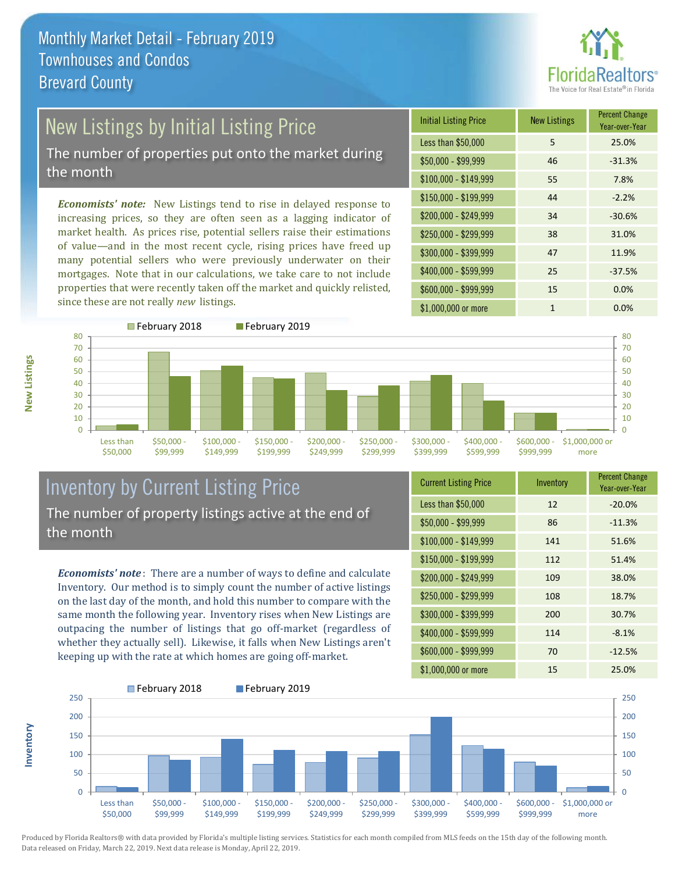

# New Listings by Initial Listing Price

The number of properties put onto the market during the month

*Economists' note:* New Listings tend to rise in delayed response to increasing prices, so they are often seen as a lagging indicator of market health. As prices rise, potential sellers raise their estimations of value—and in the most recent cycle, rising prices have freed up many potential sellers who were previously underwater on their mortgages. Note that in our calculations, we take care to not include properties that were recently taken off the market and quickly relisted, since these are not really *new* listings.

| <b>Initial Listing Price</b> | <b>New Listings</b> | <b>Percent Change</b><br>Year-over-Year |
|------------------------------|---------------------|-----------------------------------------|
| Less than \$50,000           | 5                   | 25.0%                                   |
| $$50,000 - $99,999$          | 46                  | $-31.3%$                                |
| $$100,000 - $149,999$        | 55                  | 7.8%                                    |
| $$150,000 - $199,999$        | 44                  | $-2.2%$                                 |
| \$200,000 - \$249,999        | 34                  | $-30.6%$                                |
| $$250,000 - $299,999$        | 38                  | 31.0%                                   |
| \$300,000 - \$399,999        | 47                  | 11.9%                                   |
| \$400,000 - \$599,999        | 25                  | $-37.5%$                                |
| \$600,000 - \$999,999        | 15                  | 0.0%                                    |
| \$1,000,000 or more          | 1                   | $0.0\%$                                 |



### Inventory by Current Listing Price The number of property listings active at the end of the month

*Economists' note* : There are a number of ways to define and calculate Inventory. Our method is to simply count the number of active listings on the last day of the month, and hold this number to compare with the same month the following year. Inventory rises when New Listings are outpacing the number of listings that go off-market (regardless of whether they actually sell). Likewise, it falls when New Listings aren't keeping up with the rate at which homes are going off-market.

| <b>Current Listing Price</b> | Inventory | <b>Percent Change</b><br>Year-over-Year |
|------------------------------|-----------|-----------------------------------------|
| Less than \$50,000           | 12        | $-20.0%$                                |
| $$50,000 - $99,999$          | 86        | $-11.3%$                                |
| $$100,000 - $149,999$        | 141       | 51.6%                                   |
| $$150,000 - $199,999$        | 112       | 51.4%                                   |
| \$200,000 - \$249,999        | 109       | 38.0%                                   |
| \$250,000 - \$299,999        | 108       | 18.7%                                   |
| \$300,000 - \$399,999        | 200       | 30.7%                                   |
| \$400,000 - \$599,999        | 114       | $-8.1%$                                 |
| \$600,000 - \$999,999        | 70        | $-12.5%$                                |
| \$1,000,000 or more          | 15        | 25.0%                                   |



Produced by Florida Realtors® with data provided by Florida's multiple listing services. Statistics for each month compiled from MLS feeds on the 15th day of the following month. Data released on Friday, March 22, 2019. Next data release is Monday, April 22, 2019.

**Inventory**